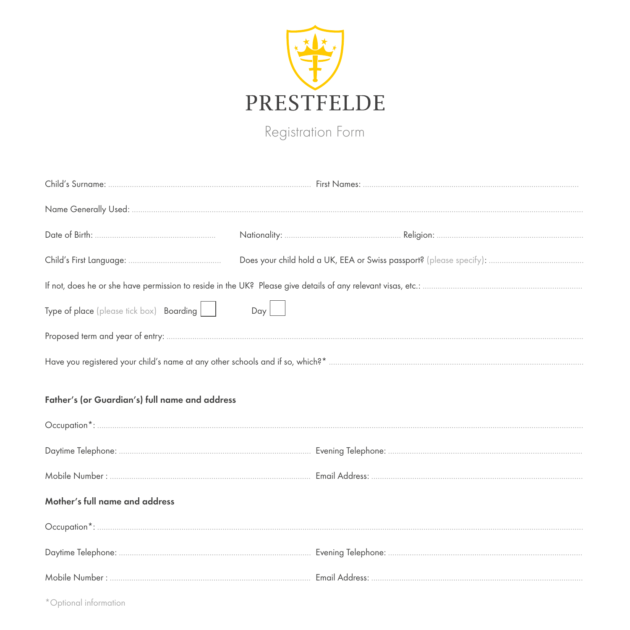

Registration Form

| Type of place (please tick box) Boarding $\boxed{\phantom{a}}$ | $Day \Box$ |  |  |  |
|----------------------------------------------------------------|------------|--|--|--|
|                                                                |            |  |  |  |
|                                                                |            |  |  |  |
| Father's (or Guardian's) full name and address                 |            |  |  |  |
|                                                                |            |  |  |  |
|                                                                |            |  |  |  |
| Mother's full name and address                                 |            |  |  |  |
|                                                                |            |  |  |  |
|                                                                |            |  |  |  |
|                                                                |            |  |  |  |

\*Optional information